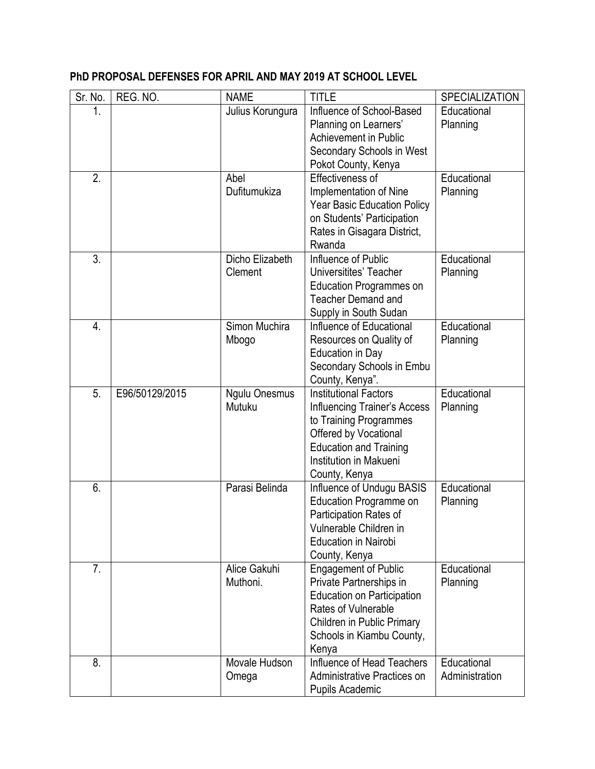| Sr. No.          | REG. NO.       | <b>NAME</b>                    | <b>TITLE</b>                                                                                                                                                                                       | SPECIALIZATION                |
|------------------|----------------|--------------------------------|----------------------------------------------------------------------------------------------------------------------------------------------------------------------------------------------------|-------------------------------|
| 1.               |                | Julius Korungura               | Influence of School-Based<br>Planning on Learners'<br>Achievement in Public<br>Secondary Schools in West<br>Pokot County, Kenya                                                                    | Educational<br>Planning       |
| 2.               |                | Abel<br>Dufitumukiza           | Effectiveness of<br>Implementation of Nine<br><b>Year Basic Education Policy</b><br>on Students' Participation<br>Rates in Gisagara District,<br>Rwanda                                            | Educational<br>Planning       |
| 3.               |                | Dicho Elizabeth<br>Clement     | Influence of Public<br>Universitites' Teacher<br><b>Education Programmes on</b><br><b>Teacher Demand and</b><br>Supply in South Sudan                                                              | Educational<br>Planning       |
| $\overline{4}$ . |                | Simon Muchira<br>Mbogo         | Influence of Educational<br>Resources on Quality of<br>Education in Day<br>Secondary Schools in Embu<br>County, Kenya".                                                                            | Educational<br>Planning       |
| 5.               | E96/50129/2015 | <b>Ngulu Onesmus</b><br>Mutuku | <b>Institutional Factors</b><br><b>Influencing Trainer's Access</b><br>to Training Programmes<br>Offered by Vocational<br><b>Education and Training</b><br>Institution in Makueni<br>County, Kenya | Educational<br>Planning       |
| 6.               |                | Parasi Belinda                 | Influence of Undugu BASIS<br>Education Programme on<br>Participation Rates of<br>Vulnerable Children in<br><b>Education in Nairobi</b><br>County, Kenya                                            | Educational<br>Planning       |
| 7.               |                | Alice Gakuhi<br>Muthoni.       | <b>Engagement of Public</b><br>Private Partnerships in<br><b>Education on Participation</b><br>Rates of Vulnerable<br>Children in Public Primary<br>Schools in Kiambu County,<br>Kenya             | Educational<br>Planning       |
| 8.               |                | Movale Hudson<br>Omega         | Influence of Head Teachers<br>Administrative Practices on<br>Pupils Academic                                                                                                                       | Educational<br>Administration |

## **PhD PROPOSAL DEFENSES FOR APRIL AND MAY 2019 AT SCHOOL LEVEL**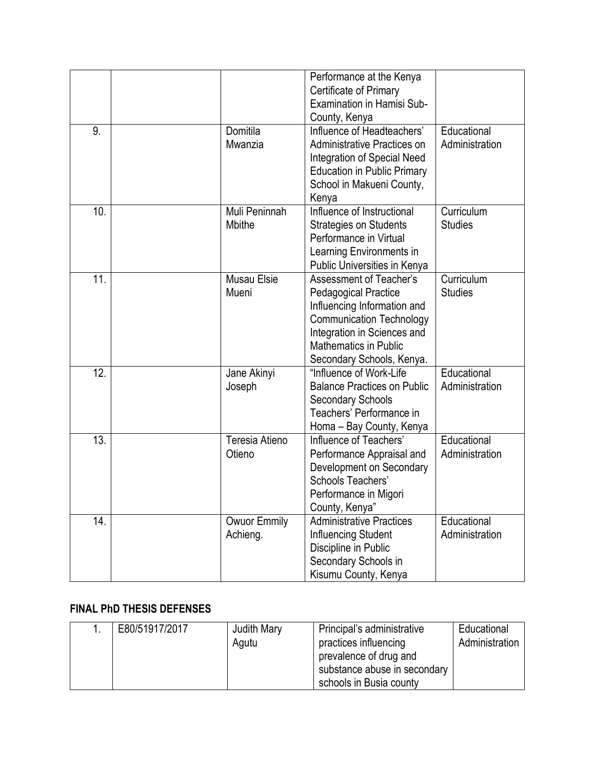|     |                             | Performance at the Kenya<br>Certificate of Primary<br>Examination in Hamisi Sub-                                                                                                                                     |                               |
|-----|-----------------------------|----------------------------------------------------------------------------------------------------------------------------------------------------------------------------------------------------------------------|-------------------------------|
|     |                             | County, Kenya                                                                                                                                                                                                        |                               |
| 9.  | Domitila<br>Mwanzia         | Influence of Headteachers'<br>Administrative Practices on<br>Integration of Special Need<br><b>Education in Public Primary</b><br>School in Makueni County,<br>Kenya                                                 | Educational<br>Administration |
| 10. | Muli Peninnah<br>Mbithe     | Influence of Instructional<br><b>Strategies on Students</b><br>Performance in Virtual<br>Learning Environments in<br>Public Universities in Kenya                                                                    | Curriculum<br><b>Studies</b>  |
| 11. | <b>Musau Elsie</b><br>Mueni | Assessment of Teacher's<br><b>Pedagogical Practice</b><br>Influencing Information and<br><b>Communication Technology</b><br>Integration in Sciences and<br><b>Mathematics in Public</b><br>Secondary Schools, Kenya. | Curriculum<br><b>Studies</b>  |
| 12. | Jane Akinyi<br>Joseph       | "Influence of Work-Life"<br><b>Balance Practices on Public</b><br><b>Secondary Schools</b><br>Teachers' Performance in<br>Homa - Bay County, Kenya                                                                   | Educational<br>Administration |
| 13. | Teresia Atieno<br>Otieno    | Influence of Teachers'<br>Performance Appraisal and<br>Development on Secondary<br>Schools Teachers'<br>Performance in Migori<br>County, Kenya                                                                       | Educational<br>Administration |
| 14. | Owuor Emmily<br>Achieng.    | <b>Administrative Practices</b><br>Influencing Student<br>Discipline in Public<br>Secondary Schools in<br>Kisumu County, Kenya                                                                                       | Educational<br>Administration |

## **FINAL PhD THESIS DEFENSES**

| E80/51917/2017<br>Judith Mary<br>Agutu | Principal's administrative<br>practices influencing<br>prevalence of drug and<br>substance abuse in secondary<br>schools in Busia county | Educational<br>Administration |
|----------------------------------------|------------------------------------------------------------------------------------------------------------------------------------------|-------------------------------|
|----------------------------------------|------------------------------------------------------------------------------------------------------------------------------------------|-------------------------------|